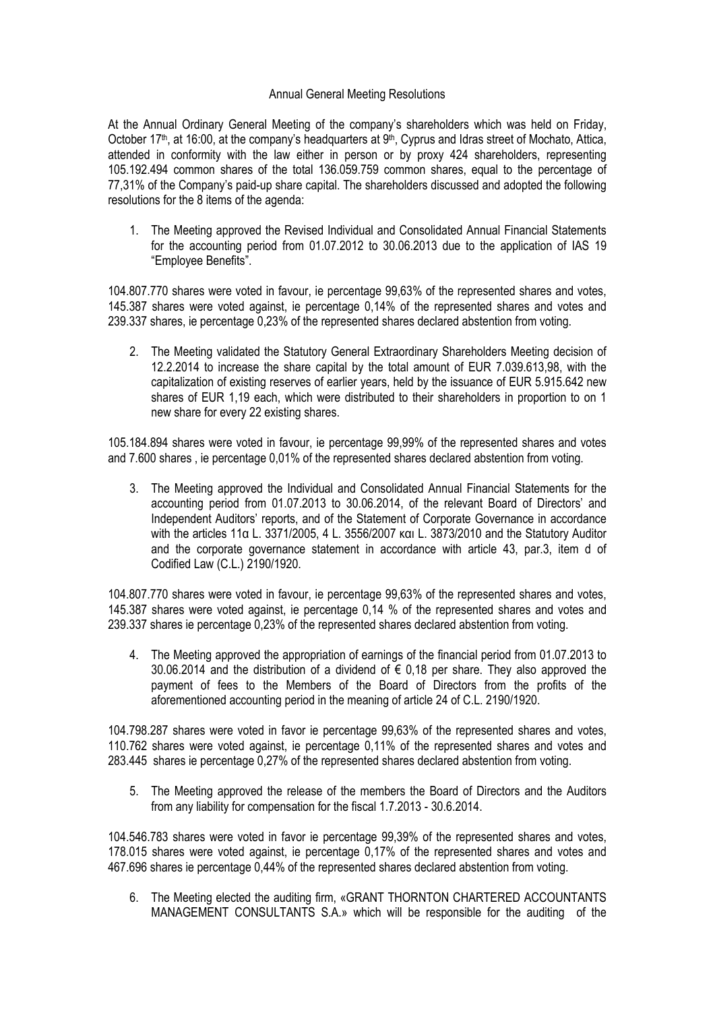## Annual General Meeting Resolutions

At the Annual Ordinary General Meeting of the company's shareholders which was held on Friday, October 17<sup>th</sup>, at 16:00, at the company's headquarters at 9<sup>th</sup>, Cyprus and Idras street of Mochato, Attica, attended in conformity with the law either in person or by proxy 424 shareholders, representing 105.192.494 common shares of the total 136.059.759 common shares, equal to the percentage of 77,31% of the Company's paid-up share capital. The shareholders discussed and adopted the following resolutions for the 8 items of the agenda:

1. The Meeting approved the Revised Individual and Consolidated Annual Financial Statements for the accounting period from 01.07.2012 to 30.06.2013 due to the application of IAS 19 "Employee Benefits".

104.807.770 shares were voted in favour, ie percentage 99,63% of the represented shares and votes, 145.387 shares were voted against, ie percentage 0,14% of the represented shares and votes and 239.337 shares, ie percentage 0,23% of the represented shares declared abstention from voting.

2. The Meeting validated the Statutory General Extraordinary Shareholders Meeting decision of 12.2.2014 to increase the share capital by the total amount of EUR 7.039.613,98, with the capitalization of existing reserves of earlier years, held by the issuance of EUR 5.915.642 new shares of EUR 1,19 each, which were distributed to their shareholders in proportion to on 1 new share for every 22 existing shares.

105.184.894 shares were voted in favour, ie percentage 99,99% of the represented shares and votes and 7.600 shares , ie percentage 0,01% of the represented shares declared abstention from voting.

3. The Meeting approved the Individual and Consolidated Annual Financial Statements for the accounting period from 01.07.2013 to 30.06.2014, of the relevant Board of Directors' and Independent Auditors' reports, and of the Statement of Corporate Governance in accordance with the articles 11α L. 3371/2005, 4 L. 3556/2007 και L. 3873/2010 and the Statutory Auditor and the corporate governance statement in accordance with article 43, par.3, item d of Codified Law (C.L.) 2190/1920.

104.807.770 shares were voted in favour, ie percentage 99,63% of the represented shares and votes, 145.387 shares were voted against, ie percentage 0,14 % of the represented shares and votes and 239.337 shares ie percentage 0,23% of the represented shares declared abstention from voting.

4. The Meeting approved the appropriation of earnings of the financial period from 01.07.2013 to 30.06.2014 and the distribution of a dividend of  $\epsilon$  0.18 per share. They also approved the payment of fees to the Members of the Board of Directors from the profits of the aforementioned accounting period in the meaning of article 24 of C.L. 2190/1920.

104.798.287 shares were voted in favor ie percentage 99,63% of the represented shares and votes, 110.762 shares were voted against, ie percentage 0,11% of the represented shares and votes and 283.445 shares ie percentage 0,27% of the represented shares declared abstention from voting.

5. The Meeting approved the release of the members the Board of Directors and the Auditors from any liability for compensation for the fiscal 1.7.2013 - 30.6.2014.

104.546.783 shares were voted in favor ie percentage 99,39% of the represented shares and votes, 178.015 shares were voted against, ie percentage 0,17% of the represented shares and votes and 467.696 shares ie percentage 0,44% of the represented shares declared abstention from voting.

6. The Meeting elected the auditing firm, «GRANT THORΝTON CHARTERED ACCOUNTANTS MANAGEMENT CONSULTANTS S.A.» which will be responsible for the auditing of the